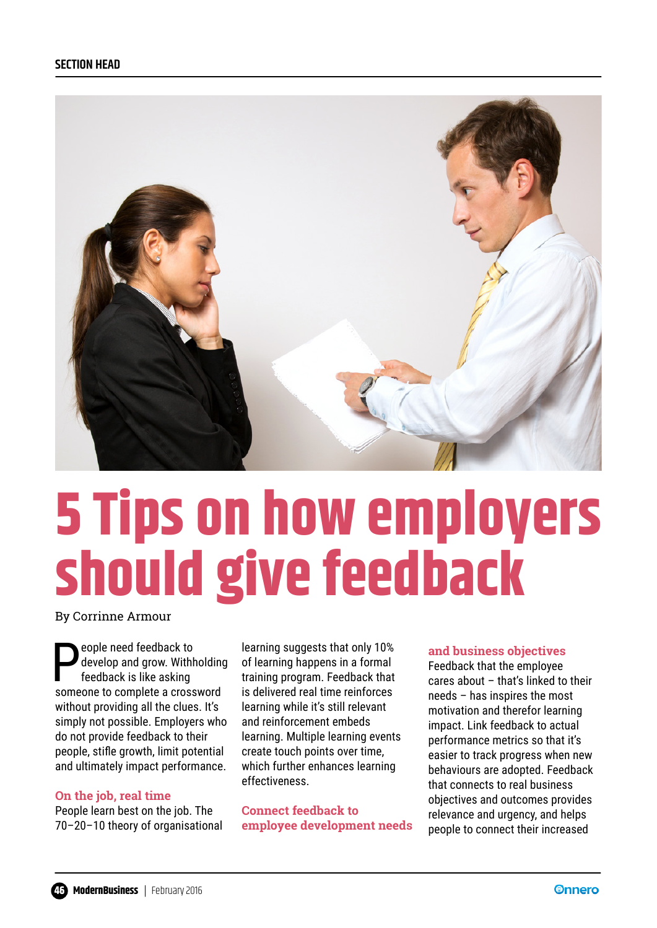

# **5 Tips on how employers should give feedback**

By Corrinne Armour

**People need feedback to**<br>develop and grow. With<br>feedback is like asking develop and grow. Withholding feedback is like asking someone to complete a crossword without providing all the clues. It's simply not possible. Employers who do not provide feedback to their people, stifle growth, limit potential and ultimately impact performance.

### **On the job, real time**

People learn best on the job. The 70–20–10 theory of organisational learning suggests that only 10% of learning happens in a formal training program. Feedback that is delivered real time reinforces learning while it's still relevant and reinforcement embeds learning. Multiple learning events create touch points over time, which further enhances learning effectiveness.

**Connect feedback to employee development needs** 

### **and business objectives**

Feedback that the employee cares about – that's linked to their needs – has inspires the most motivation and therefor learning impact. Link feedback to actual performance metrics so that it's easier to track progress when new behaviours are adopted. Feedback that connects to real business objectives and outcomes provides relevance and urgency, and helps people to connect their increased